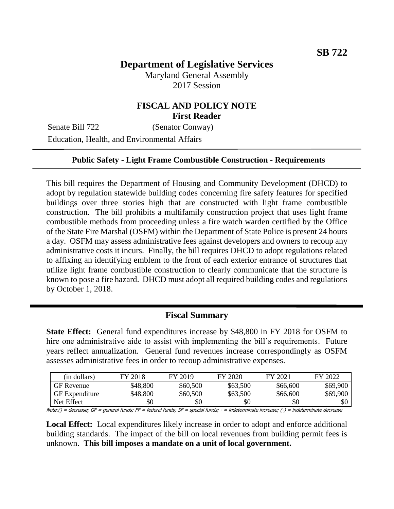# **Department of Legislative Services**

Maryland General Assembly 2017 Session

### **FISCAL AND POLICY NOTE First Reader**

Senate Bill 722 (Senator Conway) Education, Health, and Environmental Affairs

#### **Public Safety - Light Frame Combustible Construction - Requirements**

This bill requires the Department of Housing and Community Development (DHCD) to adopt by regulation statewide building codes concerning fire safety features for specified buildings over three stories high that are constructed with light frame combustible construction. The bill prohibits a multifamily construction project that uses light frame combustible methods from proceeding unless a fire watch warden certified by the Office of the State Fire Marshal (OSFM) within the Department of State Police is present 24 hours a day. OSFM may assess administrative fees against developers and owners to recoup any administrative costs it incurs. Finally, the bill requires DHCD to adopt regulations related to affixing an identifying emblem to the front of each exterior entrance of structures that utilize light frame combustible construction to clearly communicate that the structure is known to pose a fire hazard. DHCD must adopt all required building codes and regulations by October 1, 2018.

#### **Fiscal Summary**

**State Effect:** General fund expenditures increase by \$48,800 in FY 2018 for OSFM to hire one administrative aide to assist with implementing the bill's requirements. Future years reflect annualization. General fund revenues increase correspondingly as OSFM assesses administrative fees in order to recoup administrative expenses.

|                                                                                                                                          | (in dollars)          | FY 2018  | FY 2019  | FY 2020  | FY 2021  | FY 2022  |  |
|------------------------------------------------------------------------------------------------------------------------------------------|-----------------------|----------|----------|----------|----------|----------|--|
|                                                                                                                                          | <b>GF</b> Revenue     | \$48,800 | \$60,500 | \$63,500 | \$66,600 | \$69,900 |  |
|                                                                                                                                          | <b>GF</b> Expenditure | \$48,800 | \$60,500 | \$63,500 | \$66,600 | \$69,900 |  |
|                                                                                                                                          | Net Effect            | \$0      | \$0      | \$0      | \$0      | \$0      |  |
| Note:() = decrease; GF = general funds; FF = federal funds; SF = special funds; - = indeterminate increase; (-) = indeterminate decrease |                       |          |          |          |          |          |  |

**Local Effect:** Local expenditures likely increase in order to adopt and enforce additional

building standards. The impact of the bill on local revenues from building permit fees is unknown. **This bill imposes a mandate on a unit of local government.**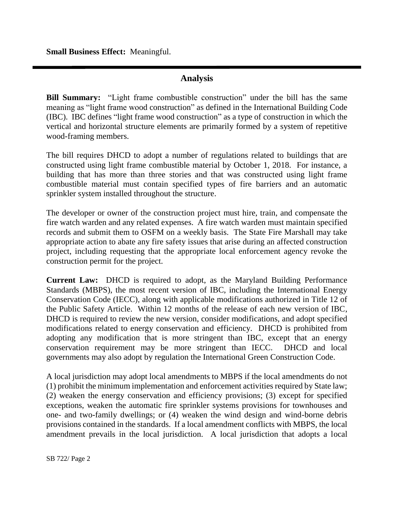**Small Business Effect:** Meaningful.

### **Analysis**

**Bill Summary:** "Light frame combustible construction" under the bill has the same meaning as "light frame wood construction" as defined in the International Building Code (IBC). IBC defines "light frame wood construction" as a type of construction in which the vertical and horizontal structure elements are primarily formed by a system of repetitive wood-framing members.

The bill requires DHCD to adopt a number of regulations related to buildings that are constructed using light frame combustible material by October 1, 2018. For instance, a building that has more than three stories and that was constructed using light frame combustible material must contain specified types of fire barriers and an automatic sprinkler system installed throughout the structure.

The developer or owner of the construction project must hire, train, and compensate the fire watch warden and any related expenses. A fire watch warden must maintain specified records and submit them to OSFM on a weekly basis. The State Fire Marshall may take appropriate action to abate any fire safety issues that arise during an affected construction project, including requesting that the appropriate local enforcement agency revoke the construction permit for the project.

**Current Law:** DHCD is required to adopt, as the Maryland Building Performance Standards (MBPS), the most recent version of IBC, including the International Energy Conservation Code (IECC), along with applicable modifications authorized in Title 12 of the Public Safety Article. Within 12 months of the release of each new version of IBC, DHCD is required to review the new version, consider modifications, and adopt specified modifications related to energy conservation and efficiency. DHCD is prohibited from adopting any modification that is more stringent than IBC, except that an energy conservation requirement may be more stringent than IECC. DHCD and local governments may also adopt by regulation the International Green Construction Code.

A local jurisdiction may adopt local amendments to MBPS if the local amendments do not (1) prohibit the minimum implementation and enforcement activities required by State law; (2) weaken the energy conservation and efficiency provisions; (3) except for specified exceptions, weaken the automatic fire sprinkler systems provisions for townhouses and one- and two-family dwellings; or (4) weaken the wind design and wind-borne debris provisions contained in the standards. If a local amendment conflicts with MBPS, the local amendment prevails in the local jurisdiction. A local jurisdiction that adopts a local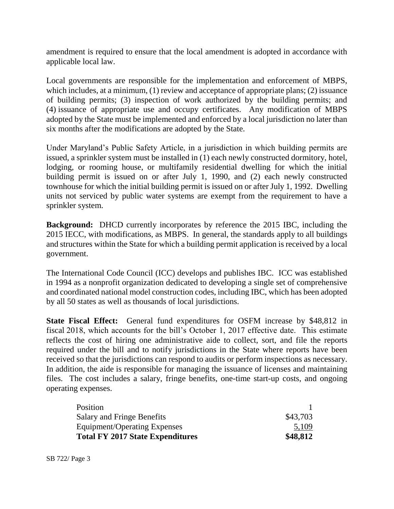amendment is required to ensure that the local amendment is adopted in accordance with applicable local law.

Local governments are responsible for the implementation and enforcement of MBPS, which includes, at a minimum, (1) review and acceptance of appropriate plans; (2) issuance of building permits; (3) inspection of work authorized by the building permits; and (4) issuance of appropriate use and occupy certificates. Any modification of MBPS adopted by the State must be implemented and enforced by a local jurisdiction no later than six months after the modifications are adopted by the State.

Under Maryland's Public Safety Article, in a jurisdiction in which building permits are issued, a sprinkler system must be installed in (1) each newly constructed dormitory, hotel, lodging, or rooming house, or multifamily residential dwelling for which the initial building permit is issued on or after July 1, 1990, and (2) each newly constructed townhouse for which the initial building permit is issued on or after July 1, 1992. Dwelling units not serviced by public water systems are exempt from the requirement to have a sprinkler system.

**Background:** DHCD currently incorporates by reference the 2015 IBC, including the 2015 IECC, with modifications, as MBPS. In general, the standards apply to all buildings and structures within the State for which a building permit application is received by a local government.

The International Code Council (ICC) develops and publishes IBC. ICC was established in 1994 as a nonprofit organization dedicated to developing a single set of comprehensive and coordinated national model construction codes, including IBC, which has been adopted by all 50 states as well as thousands of local jurisdictions.

**State Fiscal Effect:** General fund expenditures for OSFM increase by \$48,812 in fiscal 2018, which accounts for the bill's October 1, 2017 effective date. This estimate reflects the cost of hiring one administrative aide to collect, sort, and file the reports required under the bill and to notify jurisdictions in the State where reports have been received so that the jurisdictions can respond to audits or perform inspections as necessary. In addition, the aide is responsible for managing the issuance of licenses and maintaining files. The cost includes a salary, fringe benefits, one-time start-up costs, and ongoing operating expenses.

| Position                                |          |
|-----------------------------------------|----------|
| <b>Salary and Fringe Benefits</b>       | \$43,703 |
| Equipment/Operating Expenses            | 5,109    |
| <b>Total FY 2017 State Expenditures</b> | \$48,812 |